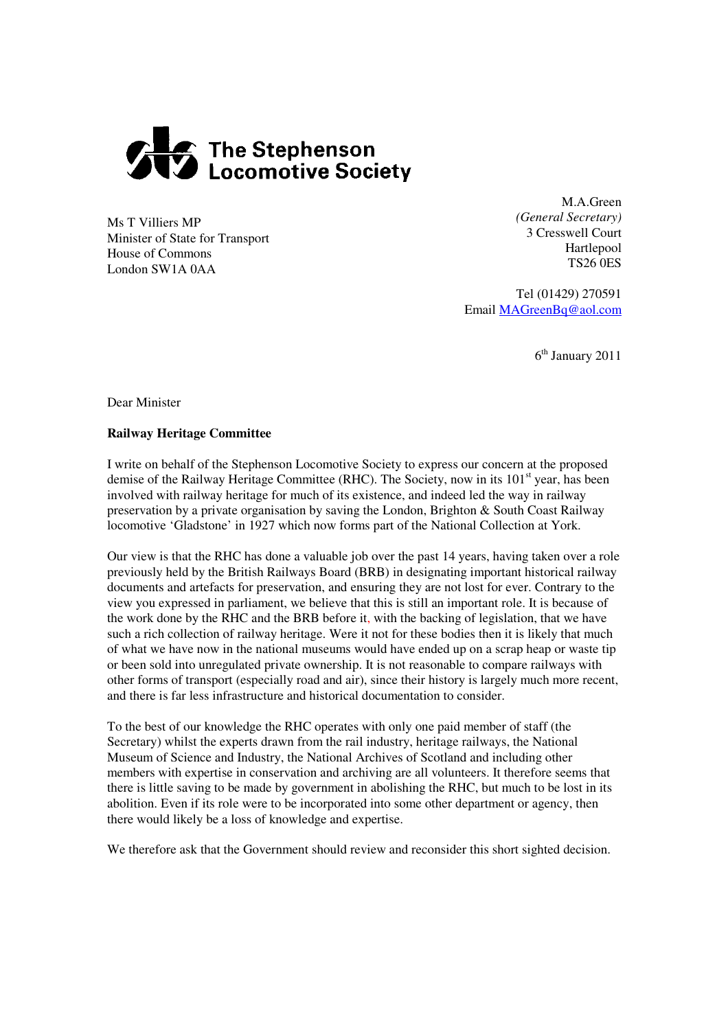

Ms T Villiers MP Minister of State for Transport House of Commons London SW1A 0AA

M.A.Green *(General Secretary)* 3 Cresswell Court Hartlepool TS26 0ES

Tel (01429) 270591 Email MAGreenBq@aol.com

6 th January 2011

Dear Minister

## **Railway Heritage Committee**

I write on behalf of the Stephenson Locomotive Society to express our concern at the proposed demise of the Railway Heritage Committee (RHC). The Society, now in its 101<sup>st</sup> year, has been involved with railway heritage for much of its existence, and indeed led the way in railway preservation by a private organisation by saving the London, Brighton & South Coast Railway locomotive 'Gladstone' in 1927 which now forms part of the National Collection at York.

Our view is that the RHC has done a valuable job over the past 14 years, having taken over a role previously held by the British Railways Board (BRB) in designating important historical railway documents and artefacts for preservation, and ensuring they are not lost for ever. Contrary to the view you expressed in parliament, we believe that this is still an important role. It is because of the work done by the RHC and the BRB before it, with the backing of legislation, that we have such a rich collection of railway heritage. Were it not for these bodies then it is likely that much of what we have now in the national museums would have ended up on a scrap heap or waste tip or been sold into unregulated private ownership. It is not reasonable to compare railways with other forms of transport (especially road and air), since their history is largely much more recent, and there is far less infrastructure and historical documentation to consider.

To the best of our knowledge the RHC operates with only one paid member of staff (the Secretary) whilst the experts drawn from the rail industry, heritage railways, the National Museum of Science and Industry, the National Archives of Scotland and including other members with expertise in conservation and archiving are all volunteers. It therefore seems that there is little saving to be made by government in abolishing the RHC, but much to be lost in its abolition. Even if its role were to be incorporated into some other department or agency, then there would likely be a loss of knowledge and expertise.

We therefore ask that the Government should review and reconsider this short sighted decision.